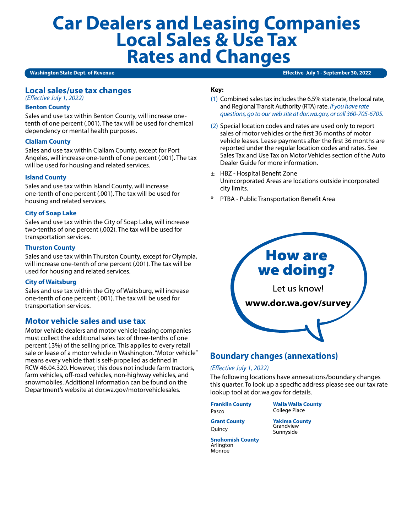# **Car Dealers and Leasing Companies Local Sales & Use Tax Rates and Changes**

#### **Washington State Dept. of Revenue**

**Effective July 1 - September 30, 2022** 

## **Local sales/use tax changes**

### *(Effective July 1, 2022)*

#### **Benton County**

Sales and use tax within Benton County, will increase onetenth of one percent (.001). The tax will be used for chemical dependency or mental health purposes.

#### **Clallam County**

Sales and use tax within Clallam County, except for Port Angeles, will increase one-tenth of one percent (.001). The tax will be used for housing and related services.

#### **Island County**

Sales and use tax within Island County, will increase one-tenth of one percent (.001). The tax will be used for housing and related services.

#### **City of Soap Lake**

Sales and use tax within the City of Soap Lake, will increase two-tenths of one percent (.002). The tax will be used for transportation services.

#### **Thurston County**

Sales and use tax within Thurston County, except for Olympia, will increase one-tenth of one percent (.001). The tax will be used for housing and related services.

#### **City of Waitsburg**

Sales and use tax within the City of Waitsburg, will increase one-tenth of one percent (.001). The tax will be used for transportation services.

# **Motor vehicle sales and use tax**

Motor vehicle dealers and motor vehicle leasing companies must collect the additional sales tax of three-tenths of one percent (.3%) of the selling price. This applies to every retail sale or lease of a motor vehicle in Washington. "Motor vehicle" means every vehicle that is self-propelled as defined in RCW 46.04.320. However, this does not include farm tractors, farm vehicles, off-road vehicles, non-highway vehicles, and snowmobiles. Additional information can be found on the Department's website at dor.wa.gov/motorvehiclesales.

#### **Key:**

- (1) Combined sales tax includes the 6.5% state rate, the local rate, and Regional Transit Authority (RTA) rate. *If you have rate questions, go to our web site at dor.wa.gov, or call 360-705-6705.*
- (2) Special location codes and rates are used only to report sales of motor vehicles or the first 36 months of motor vehicle leases. Lease payments after the first 36 months are reported under the regular location codes and rates. See Sales Tax and Use Tax on Motor Vehicles section of the Auto Dealer Guide for more information.
- ± HBZ Hospital Benefit Zone Unincorporated Areas are locations outside incorporated city limits.
- PTBA Public Transportation Benefit Area



# **Boundary changes (annexations)**

#### *(Effective July 1, 2022)*

The following locations have annexations/boundary changes this quarter. To look up a specific address please see our tax rate lookup tool at dor.wa.gov for details.

**Franklin County** Pasco

**Walla Walla County** College Place

**Grant County** Quincy

**Yakima County** Grandview Sunnyside

**Snohomish County** Arlington Monroe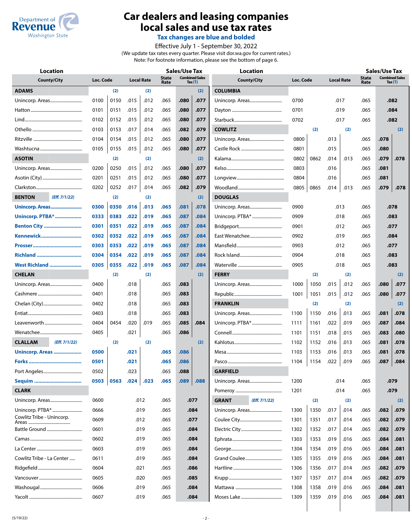

# **Car dealers and leasing companies local sales and use tax rates**

**Tax changes are blue and bolded**

Effective July 1 - September 30, 2022 (We update tax rates every quarter. Please visit dor.wa.gov for current rates.) Note: For footnote information, please see the bottom of page 6.

| <b>Location</b>                 |           |      |      |                   |                      | <b>Sales/Use Tax</b> |                                    | <b>Location</b>               |           |      |                   |      |                      | <b>Sales/Use Tax</b>               |      |  |  |
|---------------------------------|-----------|------|------|-------------------|----------------------|----------------------|------------------------------------|-------------------------------|-----------|------|-------------------|------|----------------------|------------------------------------|------|--|--|
| <b>County/City</b>              | Loc. Code |      |      | <b>Local Rate</b> | <b>State</b><br>Rate |                      | <b>Combined Sales</b><br>Tax $(1)$ | <b>County/City</b>            | Loc. Code |      | <b>Local Rate</b> |      | <b>State</b><br>Rate | <b>Combined Sales</b><br>Tax $(1)$ |      |  |  |
| <b>ADAMS</b>                    |           | (2)  |      | (2)               |                      |                      | (2)                                | <b>COLUMBIA</b>               |           |      |                   |      |                      |                                    |      |  |  |
| Unincorp. Areas                 | 0100      | 0150 | .015 | .012              | .065                 | .080                 | .077                               | Unincorp. Areas               | 0700      |      | .017              |      | .065                 | .082                               |      |  |  |
|                                 | 0101      | 0151 | .015 | .012              | .065                 | .080                 | .077                               |                               | 0701      | .019 |                   |      | .065                 | .084                               |      |  |  |
|                                 | 0102      | 0152 | .015 | .012              | .065                 | .080                 | .077                               |                               | 0702      |      | .017              |      | .065                 |                                    | .082 |  |  |
|                                 | 0103      | 0153 | .017 | .014              | .065                 | .082                 | .079                               | <b>COWLITZ</b>                |           | (2)  |                   | (2)  |                      |                                    | (2)  |  |  |
|                                 | 0104      | 0154 | .015 | .012              | .065                 | .080                 | .077                               |                               | 0800      |      | .013              |      | .065                 | .078                               |      |  |  |
|                                 | 0105      | 0155 | .015 | .012              | .065                 | .080                 | .077                               |                               | 0801      |      | .015              |      | .065                 | .080                               |      |  |  |
| <b>ASOTIN</b>                   |           | (2)  |      | (2)               |                      |                      | (2)                                |                               | 0802      | 0862 | .014              | .013 | .065                 | .079                               | .078 |  |  |
|                                 | 0200      | 0250 | .015 | .012              | .065                 | .080                 | .077                               |                               | 0803      |      | .016              |      | .065                 | .081                               |      |  |  |
|                                 | 0201      | 0251 | .015 | .012              | .065                 | .080                 | .077                               |                               | 0804      |      | .016              |      | .065                 | .081                               |      |  |  |
|                                 | 0202      | 0252 | .017 | .014              | .065                 | .082                 | .079                               |                               | 0805      | 0865 | .014              | .013 | .065                 | .079                               | .078 |  |  |
| <b>BENTON</b><br>(Eff. 7/1/22)  |           | (2)  |      | (2)               |                      |                      | (2)                                | <b>DOUGLAS</b>                |           |      |                   |      |                      |                                    |      |  |  |
| Unincorp. Areas                 | 0300      | 0350 | .016 | .013              | .065                 | .081                 | .078                               |                               | 0900      |      |                   | .013 | .065                 |                                    | .078 |  |  |
| <b>Unincorp. PTBA* </b>         | 0333      | 0383 | .022 | .019              | .065                 | .087                 | .084                               |                               | 0909      |      |                   | .018 | .065                 | .083                               |      |  |  |
| <b>Benton City </b>             | 0301      | 0351 | .022 | .019              | .065                 | .087                 | .084                               |                               | 0901      |      | .012              |      | .065                 | .077                               |      |  |  |
| Kennewick                       | 0302      | 0352 | .022 | .019              | .065                 | .087                 | .084                               | East Wenatchee                | 0902      |      | .019              |      | .065                 | .084                               |      |  |  |
|                                 | 0303      | 0353 | .022 | .019              | .065                 | .087                 | .084                               |                               | 0903      |      | .012              |      | .065                 | .077                               |      |  |  |
| Richland                        | 0304      | 0354 | .022 | .019              | .065                 | .087                 | .084                               |                               | 0904      |      | .018              |      | .065                 | .083                               |      |  |  |
| West Richland                   | 0305      | 0355 | .022 | .019              | .065                 | .087                 | .084                               |                               | 0905      |      |                   | .018 | .065                 |                                    | .083 |  |  |
| <b>CHELAN</b>                   |           | (2)  |      | (2)               |                      |                      | (2)                                | <b>FERRY</b>                  |           | (2)  |                   | (2)  |                      |                                    | (2)  |  |  |
| Unincorp. Areas                 | 0400      |      | .018 |                   | .065                 | .083                 |                                    |                               | 1000      | 1050 | .015              | .012 | .065                 | .080                               | .077 |  |  |
|                                 | 0401      |      | .018 |                   | .065                 | .083                 |                                    |                               | 1001      | 1051 | .015              | .012 | .065                 | .080                               | .077 |  |  |
|                                 | 0402      |      | .018 |                   | .065                 | .083                 |                                    | <b>FRANKLIN</b>               |           | (2)  |                   | (2)  |                      |                                    | (2)  |  |  |
|                                 | 0403      |      | .018 |                   | .065                 | .083                 |                                    |                               | 1100      | 1150 | .016              | .013 | .065                 | .081                               | .078 |  |  |
|                                 | 0404      | 0454 | .020 | .019              | .065                 | .085                 | .084                               | Unincorp. PTBA*               | 1111      | 1161 | .022              | .019 | .065                 | .087                               | .084 |  |  |
|                                 | 0405      |      | .021 |                   | .065                 | .086                 |                                    |                               | 1101      | 1151 | .018              | .015 | .065                 | .083                               | .080 |  |  |
| <b>CLALLAM</b><br>(Eff. 7/1/22) |           | (2)  |      | (2)               |                      |                      | (2)                                |                               | 1102      | 1152 | .016              | .013 | .065                 | .081                               | .078 |  |  |
| Unincorp. Areas                 | 0500      |      | .021 |                   | .065                 | .086                 |                                    |                               | 1103      | 1153 | .016              | .013 | .065                 | .081                               | .078 |  |  |
|                                 | 0501      |      | .021 |                   | .065                 | .086                 |                                    |                               | 1104      | 1154 | .022              | .019 | .065                 | .087                               | .084 |  |  |
|                                 | 0502      |      | .023 |                   | .065                 | .088                 |                                    | <b>GARFIELD</b>               |           |      |                   |      |                      |                                    |      |  |  |
|                                 | 0503      | 0563 | .024 | .023              | .065                 | .089                 | .088                               |                               | 1200      |      |                   | .014 | .065                 |                                    | .079 |  |  |
| <b>CLARK</b>                    |           |      |      |                   |                      |                      |                                    |                               | 1201      |      |                   | .014 | .065                 |                                    | .079 |  |  |
|                                 | 0600      |      |      | .012              | .065                 |                      | .077                               | (Eff. 7/1/22)<br><b>GRANT</b> |           | (2)  |                   | (2)  |                      |                                    | (2)  |  |  |
| Unincorp. PTBA*                 | 0666      |      |      | .019              | .065                 |                      | .084                               | Unincorp. Areas               | 1300      | 1350 | .017              | .014 | .065                 | .082                               | .079 |  |  |
| Cowlitz Tribe - Unincorp.       | 0609      |      |      | .012              | .065                 |                      | .077                               |                               | 1301      | 1351 | .017              | .014 | .065                 | .082                               | .079 |  |  |
| Battle Ground                   | 0601      |      |      | .019              | .065                 |                      | .084                               |                               | 1302      | 1352 | .017              | .014 | .065                 | .082                               | .079 |  |  |
|                                 | 0602      |      |      | .019              | .065                 |                      | .084                               |                               | 1303      | 1353 | .019              | .016 | .065                 | .084                               | .081 |  |  |
|                                 | 0603      |      |      | .019              | .065                 |                      | .084                               |                               | 1304      | 1354 | .019              | .016 | .065                 | .084                               | .081 |  |  |
| Cowlitz Tribe - La Center       | 0611      |      |      | .019              | .065                 |                      | .084                               |                               | 1305      | 1355 | .019              | .016 | .065                 | .084                               | .081 |  |  |
|                                 | 0604      |      |      | .021              | .065                 |                      | .086                               |                               | 1306      | 1356 | .017              | .014 | .065                 | .082                               | .079 |  |  |
|                                 | 0605      |      |      | .020              | .065                 |                      | .085                               |                               | 1307      | 1357 | .017              | .014 | .065                 | .082                               | .079 |  |  |
|                                 | 0606      |      |      | .019              | .065                 |                      | .084                               |                               | 1308      | 1358 | .019              | .016 | .065                 | .084                               | .081 |  |  |
|                                 | 0607      |      |      | .019              | .065                 |                      | .084                               |                               | 1309      | 1359 | .019              | .016 | .065                 | .084                               | .081 |  |  |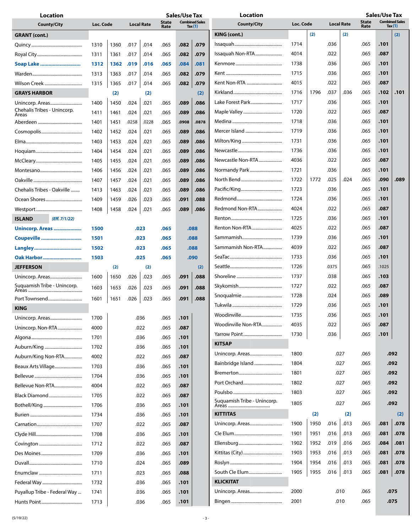| <b>Location</b>                                |           |      |       |                   |                      | <b>Sales/Use Tax</b> |                                    | <b>Location</b>             |           |      |                   | Sales/Use Tax |                                                            |       |      |
|------------------------------------------------|-----------|------|-------|-------------------|----------------------|----------------------|------------------------------------|-----------------------------|-----------|------|-------------------|---------------|------------------------------------------------------------|-------|------|
| <b>County/City</b>                             | Loc. Code |      |       | <b>Local Rate</b> | <b>State</b><br>Rate |                      | <b>Combined Sales</b><br>Tax $(1)$ | <b>County/City</b>          | Loc. Code |      | <b>Local Rate</b> |               | <b>Combined Sales</b><br><b>State</b><br>Rate<br>Tax $(1)$ |       |      |
| <b>GRANT</b> (cont.)                           |           |      |       |                   |                      |                      |                                    | KING (cont.)                |           | (2)  | (2)               |               |                                                            |       | (2)  |
|                                                | 1310      | 1360 | .017  | .014              | .065                 | .082                 | .079                               |                             | 1714      |      | .036              |               | .065                                                       | .101  |      |
|                                                | 1311      | 1361 | .017  | .014              | .065                 | .082                 | .079                               | Issaquah Non-RTA            | 4014      |      | .022              |               | .065                                                       | .087  |      |
| Soap Lake                                      | 1312      | 1362 | .019  | .016              | .065                 | .084                 | .081                               |                             | 1738      |      | .036              |               | .065                                                       | .101  |      |
|                                                | 1313      | 1363 | .017  | .014              | .065                 | .082                 | .079                               |                             | 1715      |      | .036              |               | .065                                                       | .101  |      |
|                                                | 1315      | 1365 | .017  | .014              | .065                 | .082                 | .079                               | Kent Non-RTA                | 4015      |      | .022              |               | .065                                                       | .087  |      |
|                                                |           |      |       |                   |                      |                      |                                    |                             | 1716      | 1796 | .037              | .036          | .065                                                       | .102  | .101 |
| <b>GRAYS HARBOR</b>                            |           | (2)  |       | (2)               |                      |                      | (2)                                | Lake Forest Park            | 1717      |      | .036              |               | .065                                                       | .101  |      |
| Unincorp. Areas<br>Chehalis Tribes - Unincorp. | 1400      | 1450 | .024  | .021              | .065                 | .089                 | .086                               |                             |           |      |                   |               |                                                            |       |      |
| Areas                                          | 1411      | 1461 | .024  | .021              | .065                 | .089                 | .086                               |                             | 1720      |      | .022              |               | .065                                                       | .087  |      |
|                                                | 1401      | 1451 | .0258 | .0228             | .065                 | .0908                | .0878                              |                             | 1718      |      | .036              |               | .065                                                       | .101  |      |
|                                                | 1402      | 1452 | .024  | .021              | .065                 | .089                 | .086                               | Mercer Island               | 1719      |      | .036              |               | .065                                                       | .101  |      |
|                                                | 1403      | 1453 | .024  | .021              | .065                 | .089                 | .086                               |                             | 1731      |      | .036              |               | .065                                                       | .101  |      |
|                                                | 1404      | 1454 | .024  | .021              | .065                 | .089                 | .086                               |                             | 1736      |      | .036              |               | .065                                                       | .101  |      |
|                                                | 1405      | 1455 | .024  | .021              | .065                 | .089                 | .086                               | Newcastle Non-RTA           | 4036      |      | .022              |               | .065                                                       | .087  |      |
|                                                | 1406      | 1456 | .024  | .021              | .065                 | .089                 | .086                               | Normandy Park               | 1721      |      | .036              |               | .065                                                       | .101  |      |
|                                                | 1407      | 1457 | .024  | .021              | .065                 | .089                 | .086                               |                             | 1722      | 1772 | .025              | .024          | .065                                                       | .090  | .089 |
| Chehalis Tribes - Oakville                     | 1413      | 1463 | .024  | .021              | .065                 | .089                 | .086                               |                             | 1723      |      | .036              |               | .065                                                       | .101  |      |
|                                                | 1409      | 1459 | .026  | .023              | .065                 | .091                 | .088                               |                             | 1724      |      | .036              |               | .065                                                       | .101  |      |
|                                                | 1408      | 1458 | .024  | .021              | .065                 | .089                 | .086                               | Redmond Non-RTA             | 4024      |      | .022              |               | .065                                                       | .087  |      |
| (Eff. 7/1/22)<br><b>ISLAND</b>                 |           |      |       |                   |                      |                      |                                    |                             | 1725      |      | .036              |               | .065                                                       | .101  |      |
| Unincorp. Areas                                | 1500      |      |       | .023              | .065                 |                      | .088                               | Renton Non-RTA              | 4025      |      | .022              |               | .065                                                       | .087  |      |
| Coupeville                                     | 1501      |      |       | .023              | .065                 |                      | .088                               |                             | 1739      |      | .036              |               | .065                                                       | .101  |      |
|                                                | 1502      |      | .023  |                   | .065                 | .088                 |                                    | Sammamish Non-RTA           | 4039      |      | .022              |               | .065                                                       | .087  |      |
| Oak Harbor                                     | 1503      |      |       | .025              | .065                 |                      | .090                               |                             | 1733      |      | .036              |               | .065                                                       | .101  |      |
| <b>JEFFERSON</b>                               |           | (2)  |       | (2)               |                      |                      | (2)                                |                             | 1726      |      | .0375             |               | .065                                                       | .1025 |      |
|                                                | 1600      | 1650 |       | .023              |                      | .091                 | .088                               |                             | 1737      |      | .038              |               | .065                                                       | .103  |      |
| Unincorp. Areas<br>Suquamish Tribe - Unincorp. |           |      | .026  |                   | .065                 |                      |                                    |                             | 1727      |      | .022              |               | .065                                                       | .087  |      |
|                                                | 1603      | 1653 | .026  | .023              | .065                 | .091                 | .088                               |                             |           |      |                   |               |                                                            | .089  |      |
| Port Townsend                                  | 1601      | 1651 | .026  | .023              | .065                 | .091                 | .088                               |                             | 1728      |      | .024              |               | .065                                                       |       |      |
| <b>KING</b>                                    |           |      |       |                   |                      |                      |                                    |                             | 1729      |      | .036              |               | .065                                                       | .101  |      |
| Unincorp. Areas                                | 1700      |      |       | .036              | .065                 | .101                 |                                    |                             | 1735      |      | .036              |               | .065                                                       | .101  |      |
| Unincorp. Non-RTA                              | 4000      |      |       | .022              | .065                 | .087                 |                                    | Woodinville Non-RTA         | 4035      |      | .022              |               | .065                                                       | .087  |      |
|                                                | 1701      |      |       | .036              | .065                 | .101                 |                                    |                             | 1730      |      | .036              |               | .065                                                       | .101  |      |
|                                                | 1702      |      |       | .036              | .065                 | .101                 |                                    | <b>KITSAP</b>               |           |      |                   |               |                                                            |       |      |
| Auburn/King Non-RTA                            | 4002      |      |       | .022              | .065                 | .087                 |                                    | Unincorp. Areas             | 1800      |      |                   | .027          | .065                                                       |       | .092 |
| Beaux Arts Village                             | 1703      |      |       | .036              | .065                 | .101                 |                                    | Bainbridge Island           | 1804      |      |                   | .027          | .065                                                       |       | .092 |
|                                                | 1704      |      |       | .036              | .065                 | .101                 |                                    |                             | 1801      |      |                   | .027          | .065                                                       |       | .092 |
| Bellevue Non-RTA                               | 4004      |      |       | .022              | .065                 | .087                 |                                    |                             | 1802      |      |                   | .027          | .065                                                       |       | .092 |
| Black Diamond                                  | 1705      |      |       | .022              | .065                 | .087                 |                                    |                             | 1803      |      |                   | .027          | .065                                                       |       | .092 |
|                                                | 1706      |      |       | .036              | .065                 | .101                 |                                    | Suquamish Tribe - Unincorp. | 1805      |      |                   | .027          | .065                                                       |       | .092 |
|                                                | 1734      |      |       | .036              | .065                 | .101                 |                                    | <b>KITTITAS</b>             |           | (2)  |                   | (2)           |                                                            |       | (2)  |
|                                                | 1707      |      |       | .022              | .065                 | .087                 |                                    | Unincorp. Areas             | 1900      | 1950 | .016              | .013          | .065                                                       | .081  | .078 |
|                                                |           |      |       |                   |                      |                      |                                    |                             | 1901      | 1951 | .016              | .013          | .065                                                       | .081  | .078 |
|                                                | 1708      |      |       | .036              | .065                 | .101                 |                                    |                             |           |      |                   |               |                                                            |       |      |
|                                                | 1712      |      |       | .022              | .065                 | .087                 |                                    |                             | 1902      | 1952 | .019              | .016          | .065                                                       | .084  | .081 |
|                                                | 1709      |      |       | .036              | .065                 | .101                 |                                    |                             | 1903      | 1953 | .016              | .013          | .065                                                       | .081  | .078 |
|                                                | 1710      |      |       | .024              | .065                 | .089                 |                                    |                             | 1904      | 1954 | .016              | .013          | .065                                                       | .081  | .078 |
|                                                | 1711      |      |       | .023              | .065                 | .088                 |                                    | South Cle Elum              | 1905      | 1955 | .016              | .013          | .065                                                       | .081  | .078 |
|                                                | 1732      |      |       | .036              | .065                 | .101                 |                                    | <b>KLICKITAT</b>            |           |      |                   |               |                                                            |       |      |
| Puyallup Tribe - Federal Way                   | 1741      |      |       | .036              | .065                 | .101                 |                                    |                             | 2000      |      |                   | .010          | .065                                                       |       | .075 |
|                                                | 1713      |      |       | .036              | .065                 | .101                 |                                    |                             | 2001      |      | .010              |               | .065                                                       | .075  |      |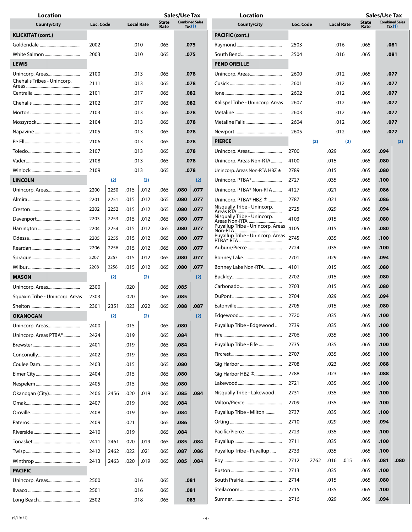| <b>Location</b>                 |           |      |      |                   |                      | <b>Sales/Use Tax</b>                                     |      | <b>Location</b>                                           |      |      |                   |                      | <b>Sales/Use Tax</b> |                                    |      |
|---------------------------------|-----------|------|------|-------------------|----------------------|----------------------------------------------------------|------|-----------------------------------------------------------|------|------|-------------------|----------------------|----------------------|------------------------------------|------|
| <b>County/City</b>              | Loc. Code |      |      | <b>Local Rate</b> | <b>State</b><br>Rate | <b>Combined Sales</b><br><b>County/City</b><br>Tax $(1)$ |      | Loc. Code                                                 |      |      | <b>Local Rate</b> | <b>State</b><br>Rate |                      | <b>Combined Sales</b><br>Tax $(1)$ |      |
| <b>KLICKITAT (cont.)</b>        |           |      |      |                   |                      |                                                          |      | <b>PACIFIC (cont.)</b>                                    |      |      |                   |                      |                      |                                    |      |
|                                 | 2002      |      |      | .010              | .065                 | .075                                                     |      |                                                           | 2503 |      | .016              |                      | .065                 | .081                               |      |
| White Salmon                    | 2003      |      |      | .010              | .065                 |                                                          | .075 |                                                           | 2504 |      |                   | .016                 | .065                 | .081                               |      |
| <b>LEWIS</b>                    |           |      |      |                   |                      |                                                          |      | <b>PEND OREILLE</b>                                       |      |      |                   |                      |                      |                                    |      |
| Unincorp. Areas                 | 2100      |      |      | .013              | .065                 | .078                                                     |      |                                                           | 2600 |      | .012              |                      | .065                 | .077                               |      |
| Chehalis Tribes - Unincorp.     | 2111      |      |      | .013              | .065                 | .078                                                     |      |                                                           | 2601 |      |                   | .012                 | .065                 | .077                               |      |
|                                 | 2101      |      |      | .017              | .065                 |                                                          | .082 |                                                           | 2602 |      |                   | .012                 | .065                 | .077                               |      |
|                                 | 2102      |      |      | .017              | .065                 |                                                          | .082 | Kalispel Tribe - Unincorp. Areas                          | 2607 |      |                   | .012                 | .065                 | .077                               |      |
|                                 | 2103      |      |      | .013              | .065                 |                                                          | .078 |                                                           | 2603 |      |                   | .012                 | .065                 | .077                               |      |
|                                 | 2104      |      |      | .013              | .065                 |                                                          | .078 |                                                           | 2604 |      |                   | .012                 | .065                 |                                    | .077 |
|                                 | 2105      |      |      | .013              | .065                 |                                                          | .078 |                                                           | 2605 |      |                   | .012                 | .065                 |                                    | .077 |
|                                 | 2106      |      |      | .013              | .065                 |                                                          | .078 | <b>PIERCE</b>                                             |      | (2)  |                   | (2)                  |                      |                                    | (2)  |
|                                 | 2107      |      |      | .013              | .065                 |                                                          | .078 | Unincorp. Areas                                           | 2700 |      | .029              |                      | .065                 | .094                               |      |
|                                 | 2108      |      |      | .013              | .065                 |                                                          | .078 | Unincorp. Areas Non-RTA                                   | 4100 |      | .015              |                      | .065                 | .080                               |      |
|                                 | 2109      |      |      | .013              | .065                 |                                                          | .078 | Unincorp. Areas Non-RTA HBZ ±                             | 2789 |      | .015              |                      | .065                 | .080                               |      |
|                                 |           |      |      |                   |                      |                                                          |      |                                                           | 2727 |      |                   |                      |                      |                                    |      |
| <b>LINCOLN</b>                  |           | (2)  |      | (2)               |                      |                                                          | (2)  |                                                           |      |      | .035              |                      | .065                 | .100                               |      |
| Unincorp. Areas                 | 2200      | 2250 | .015 | .012              | .065                 | .080                                                     | .077 | Unincorp. PTBA* Non-RTA                                   | 4127 |      | .021              |                      | .065                 | .086                               |      |
|                                 | 2201      | 2251 | .015 | .012              | .065                 | .080                                                     | .077 | Unincorp. $PTBA*HBZ \pm 1$<br>Nisqually Tribe - Unincorp. | 2787 |      | .021              |                      | .065                 | .086                               |      |
|                                 | 2202      | 2252 | .015 | .012              | .065                 | .080                                                     | .077 | Nisqually Tribe - Unincorp.                               | 2725 |      | .029              |                      | .065                 | .094                               |      |
|                                 | 2203      | 2253 | .015 | .012              | .065                 | .080                                                     | .077 | Areas Non-RTA<br>Puyallup Tribe - Unincorp. Areas 4105    | 4103 |      | .015              |                      | .065                 | .080                               |      |
|                                 | 2204      | 2254 | .015 | .012              | .065                 | .080                                                     | .077 | Puyallup Tribe - Unincorp. Areas                          |      |      | .015              |                      | .065                 | .080                               |      |
|                                 | 2205      | 2255 | .015 | .012              | .065                 | .080                                                     | .077 |                                                           | 2745 |      | .035              |                      | .065                 | .100                               |      |
|                                 | 2206      | 2256 | .015 | .012              | .065                 | .080                                                     | .077 | Auburn/Pierce                                             | 2724 |      | .035              |                      | .065                 | .100                               |      |
|                                 | 2207      | 2257 | .015 | .012              | .065                 | .080                                                     | .077 |                                                           | 2701 |      | .029              |                      | .065                 | .094                               |      |
| Wilbur………………………………………           | 2208      | 2258 | .015 | .012              | .065                 | .080                                                     | .077 | Bonney Lake Non-RTA                                       | 4101 | .015 |                   |                      | .065                 | .080                               |      |
| <b>MASON</b>                    |           | (2)  |      | (2)               |                      |                                                          | (2)  |                                                           | 2702 | .015 |                   |                      | .065                 | .080                               |      |
|                                 | 2300      |      | .020 |                   | .065                 | .085                                                     |      |                                                           | 2703 |      | .015              |                      | .065                 | .080                               |      |
| Squaxin Tribe - Unincorp. Areas | 2303      |      | .020 |                   | .065                 | .085                                                     |      |                                                           | 2704 |      | .029              |                      | .065                 | .094                               |      |
|                                 | 2301      | 2351 | .023 | .022              | .065                 | .088                                                     | .087 |                                                           | 2705 |      | .015              |                      | .065                 | .080                               |      |
| OKANOGAN                        |           | (2)  |      | (2)               |                      |                                                          | (2)  |                                                           | 2720 |      | .035              |                      | .065                 | .100                               |      |
| Unincorp. Areas                 | 2400      |      | .015 |                   | .065                 | .080                                                     |      | Puyallup Tribe - Edgewood                                 | 2739 |      | .035              |                      | .065                 | .100                               |      |
| Unincorp. Areas PTBA*           | 2424      |      | .019 |                   | .065                 | .084                                                     |      |                                                           | 2706 |      | .035              |                      | .065                 | .100                               |      |
|                                 | 2401      |      | .019 |                   | .065                 | .084                                                     |      | Puyallup Tribe - Fife                                     | 2735 |      | .035              |                      | .065                 | .100                               |      |
|                                 | 2402      |      | .019 |                   | .065                 | .084                                                     |      |                                                           | 2707 |      | .035              |                      | .065                 | .100                               |      |
|                                 | 2403      |      | .015 |                   | .065                 | .080                                                     |      |                                                           | 2708 |      | .023              |                      | .065                 | .088                               |      |
|                                 | 2404      |      | .015 |                   | .065                 | .080                                                     |      |                                                           | 2788 |      | .023              |                      | .065                 | .088                               |      |
|                                 | 2405      |      | .015 |                   | .065                 | .080                                                     |      |                                                           | 2721 |      | .035              |                      | .065                 | .100                               |      |
| Okanogan (City)                 | 2406      | 2456 | .020 | .019              | .065                 | .085                                                     | .084 | Nisqually Tribe - Lakewood.                               | 2731 |      | .035              |                      | .065                 | .100                               |      |
|                                 | 2407      |      | .019 |                   | .065                 | .084                                                     |      |                                                           | 2709 |      | .035              |                      | .065                 | .100                               |      |
|                                 | 2408      |      | .019 |                   | .065                 | .084                                                     |      | Puyallup Tribe - Milton                                   | 2737 |      | .035              |                      | .065                 | .100                               |      |
|                                 | 2409      |      | .021 |                   | .065                 | .086                                                     |      |                                                           | 2710 |      | .029              |                      | .065                 | .094                               |      |
|                                 | 2410      |      | .019 |                   | .065                 | .084                                                     |      |                                                           | 2723 |      | .035              |                      | .065                 | .100                               |      |
|                                 | 2411      | 2461 | .020 | .019              | .065                 | .085                                                     | .084 |                                                           | 2711 |      | .035              |                      | .065                 | .100                               |      |
|                                 | 2412      | 2462 | .022 | .021              | .065                 | .087                                                     | .086 | Puyallup Tribe - Puyallup                                 | 2733 |      | .035              |                      | .065                 | .100                               |      |
|                                 | 2413      | 2463 | .020 | .019              | .065                 | .085                                                     | .084 |                                                           | 2712 | 2762 | .016              | .015                 | .065                 | .081                               | .080 |
| <b>PACIFIC</b>                  |           |      |      |                   |                      |                                                          |      |                                                           | 2713 | .035 |                   |                      | .065                 | .100                               |      |
| Unincorp. Areas                 | 2500      |      |      | .016              | .065                 |                                                          | .081 |                                                           | 2714 |      | .015              |                      | .065                 | .080                               |      |
|                                 | 2501      |      |      | .016              | .065                 |                                                          | .081 |                                                           | 2715 |      | .035              |                      | .065                 | .100                               |      |
|                                 | 2502      |      |      | .018              | .065                 |                                                          | .083 |                                                           | 2716 |      | .029              |                      | .065                 | .094                               |      |
|                                 |           |      |      |                   |                      |                                                          |      |                                                           |      |      |                   |                      |                      |                                    |      |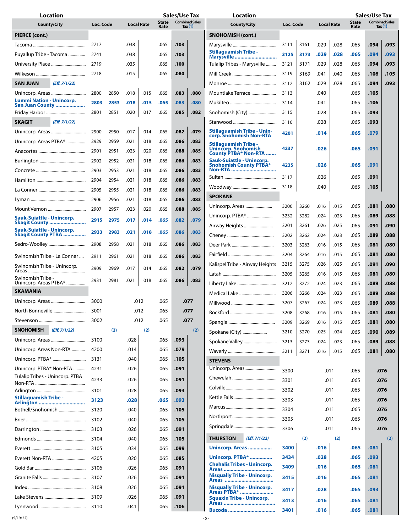| <b>Combined Sales</b><br><b>Combined Sales</b><br>State<br><b>State</b><br>Loc. Code<br><b>Local Rate</b><br>Loc. Code<br><b>County/City</b><br><b>County/City</b><br><b>Local Rate</b><br>Tax $(1)$<br>Tax $(1)$<br>Rate<br>Rate<br>PIERCE (cont.)<br><b>SNOHOMISH (cont.)</b><br>.103<br>2717<br>.038<br>.065<br>3111<br>3161<br>.029<br>.028<br>.065<br>.094<br>.093<br><b>Stillaguamish Tribe -</b><br>.029<br>.028<br>.094<br>.093<br>Puyallup Tribe - Tacoma<br>2741<br>.038<br>.065<br>.103<br>3125<br>3173<br>.065<br>Marysville<br>2719<br>.035<br>.028<br>.093<br>.065<br>.100<br>Tulalip Tribes - Marysville<br>3121<br>3171<br>.029<br>.065<br>.094<br>.080<br>.041<br>.040<br>.065<br>.105<br>2718<br>.015<br>.065<br>3119<br>3169<br>.106<br>(Eff. 7/1/22)<br>.093<br><b>SAN JUAN</b><br>.029<br>.028<br>.065<br>.094<br>3112<br>3162<br>2850<br>.080<br>2800<br>.018<br>.015<br>.065<br>.083<br>3113<br>.105<br>Mountlake Terrace<br>.040<br>.065<br>Unincorp. Areas<br><b>Lummi Nation - Unincorp.</b><br>2803<br>.065<br>2853<br>.018<br>.015<br>.065<br>.083<br>.080<br>3114<br>.041<br>.106<br>San Juan County<br>2801<br>2851<br>.020<br>.017<br>.065<br>.082<br>Snohomish (City)<br>.085<br>3115<br>.028<br>.065<br>.093<br><b>SKAGIT</b><br>(Eff. 7/1/22)<br>.028<br>.093<br>3116<br>.065<br>Stillaguamish Tribe - Unin-<br>.079<br>2900<br>2950<br>.017<br>.014<br>.065<br>.082<br>Unincorp. Areas<br>.014<br>.079<br>4201<br>.065<br>corp. Snohomish Non-RTA<br>.083<br>2929<br>2959<br>.021<br>.018<br>.065<br>.086<br>Unincorp. Areas PTBA*<br>Stillaguamish Tribe -<br>.091<br><b>Unincorp. Snohomish</b><br>4237<br>.026<br>.065<br>2901<br>2951<br>.023<br>.020<br>.065<br>.088<br>.085<br>County PTBA* Non-RTA<br>Sauk-Suiattle - Unincorp.<br>2952<br>.021<br>.018<br>.065<br>.083<br>2902<br>.086<br>Snohomish County PTBA*<br>4235<br>.026<br>.065<br>.091<br>Non-RTA<br>.021<br>.065<br>.083<br>2903<br>2953<br>.018<br>.086<br>.065<br>.091<br>3117<br>.026<br>.083<br>2904<br>2954<br>.021<br>.018<br>.065<br>.086<br>.040<br>.105<br>.065<br>3118<br>.083<br>2905<br>2955<br>.021<br>.018<br>.065<br>.086<br><b>SPOKANE</b><br>2906<br>2956<br>.021<br>.018<br>.065<br>.086<br>.083<br>3200<br>3260<br>.016<br>.015<br>.065<br>.081<br>.080<br>.085<br>2907<br>2957<br>.023<br>.020<br>.065<br>.088<br>Unincorp. PTBA*<br>3232<br>3282<br>.023<br>.065<br>.089<br>.088<br>.024<br><b>Sauk-Suiattle - Unincorp.</b><br>2915<br>.065<br>.079<br>2975<br>.017<br>.014<br>.082<br><b>Skagit County </b><br>3201<br>3261<br>.026<br>.025<br>.065<br>.091<br>.090<br>Airway Heights<br>Sauk-Suiattle - Unincorp.<br>2933<br>2983<br>.021<br>.018<br>.065<br>.086<br>.083<br><b>Skagit County PTBA </b><br>.088<br>.065<br>.089<br>3202<br>.024<br>.023<br>3262<br>.021<br>2908<br>2958<br>.018<br>.065<br>.086<br>.083<br>3203<br>3263<br>.016<br>.015<br>.065<br>.081<br>.080<br>3204<br>.080<br>3264<br>.016<br>.015<br>.065<br>.081<br>2961<br>.021<br>.083<br>Swinomish Tribe - La Conner<br>2911<br>.018<br>.065<br>.086<br>Kalispel Tribe - Airway Heights<br>.025<br>.065<br>.091<br>.090<br>3275<br>.026<br>3215<br>Swinomish Tribe - Unincorp.<br>2909<br>2969<br>.065<br>.082<br>.079<br>.017<br>.014<br>3205<br>3265<br>.016<br>.015<br>.065<br>.080<br>.081<br>Swinomish Tribe -<br>2931<br>2981<br>.021<br>.086<br>.083<br>.018<br>.065<br>Unincorp. Areas PTBA*<br>.088<br>.065<br>.089<br>3212<br>.024<br>.023<br>3272<br><b>SKAMANIA</b><br>3206<br>3266<br>.024<br>.023<br>.065<br>.089<br>.088<br>.077<br>3000<br>.012<br>.065<br>.023<br>3207<br>3267<br>.024<br>.089<br>.088<br>.065<br>.065<br>.077<br>North Bonneville<br>3001<br>.012<br>.065<br>.081<br>.080<br>3208<br>3268<br>.016<br>.015<br>.012<br>.077<br>3002<br>.065<br>3209<br>3269<br>.016<br>.015<br>.065<br>.081<br>.080<br>(Eff. 7/1/22)<br><b>SNOHOMISH</b><br>(2)<br>(2)<br>(2)<br>Spokane (City)<br>.089<br>3210<br>3270<br>.025<br>.024<br>.065<br>.090<br>.028<br>3100<br>.065<br>.093<br>Spokane Valley<br>3213<br>3273<br>.024<br>.023<br>.065<br>.089<br>.088<br>4200<br>.014<br>.079<br>Unincorp. Areas Non-RTA<br>.065<br>3211<br>3271<br>.016<br>.015<br>.080<br>.065<br>.081<br>3131<br>.040<br>.065<br>.105<br><b>STEVENS</b><br>Unincorp. PTBA* Non-RTA<br>4231<br>.026<br>.065<br>.091<br>3300<br>.011<br>.065<br>.076<br>Tulalip Tribes - Unincorp. PTBA<br>4233<br>.026<br>.065<br>.091<br>3301<br>.011<br>.065<br>.076<br>3302<br>.011<br>.076<br>.065<br>3101<br>.028<br>.065<br>.093<br><b>Stillaguamish Tribe -</b><br>3303<br>.011<br>.065<br>.076<br>3123<br>.028<br>.065<br>.093<br>Arlington<br>3304<br>.011<br>.065<br>.076<br>3120<br>.040<br>.065<br>.105<br>3305<br>.011<br>.065<br>.076<br>3102<br>.040<br>.065<br>.105<br>3306<br>.011<br>.076<br>.065<br>.026<br>.091<br>3103<br>.065<br><b>THURSTON</b><br>(Eff. 7/1/22)<br>(2)<br>(2)<br>(2)<br>3104<br>.040<br>.065<br>.105<br>3400<br>.016<br>.081<br>Unincorp. Areas<br>.065<br>3105<br>.034<br>.065<br>.099<br>Unincorp. PTBA*<br>3434<br>.028<br>.065<br>.093<br>4205<br>.020<br>.085<br>.065<br><b>Chehalis Tribes - Unincorp.</b><br>3409<br>.016<br>.065<br>.081<br>3106<br>.026<br>.065<br>.091<br><b>Nisqually Tribe - Unincorp.</b><br>.026<br>3107<br>.065<br>.091<br>3415<br>.081<br>.016<br>.065<br>3108<br>.026<br>.065<br>.091<br><b>Nisqually Tribe - Unincorp.</b><br>3417<br>.065<br>.028<br>.093<br>Areas PTBA* | <b>Location</b> |      |      |  | <b>Sales/Use Tax</b> |  | Location |  |  |  |  |  | <b>Sales/Use Tax</b> |  |  |
|-------------------------------------------------------------------------------------------------------------------------------------------------------------------------------------------------------------------------------------------------------------------------------------------------------------------------------------------------------------------------------------------------------------------------------------------------------------------------------------------------------------------------------------------------------------------------------------------------------------------------------------------------------------------------------------------------------------------------------------------------------------------------------------------------------------------------------------------------------------------------------------------------------------------------------------------------------------------------------------------------------------------------------------------------------------------------------------------------------------------------------------------------------------------------------------------------------------------------------------------------------------------------------------------------------------------------------------------------------------------------------------------------------------------------------------------------------------------------------------------------------------------------------------------------------------------------------------------------------------------------------------------------------------------------------------------------------------------------------------------------------------------------------------------------------------------------------------------------------------------------------------------------------------------------------------------------------------------------------------------------------------------------------------------------------------------------------------------------------------------------------------------------------------------------------------------------------------------------------------------------------------------------------------------------------------------------------------------------------------------------------------------------------------------------------------------------------------------------------------------------------------------------------------------------------------------------------------------------------------------------------------------------------------------------------------------------------------------------------------------------------------------------------------------------------------------------------------------------------------------------------------------------------------------------------------------------------------------------------------------------------------------------------------------------------------------------------------------------------------------------------------------------------------------------------------------------------------------------------------------------------------------------------------------------------------------------------------------------------------------------------------------------------------------------------------------------------------------------------------------------------------------------------------------------------------------------------------------------------------------------------------------------------------------------------------------------------------------------------------------------------------------------------------------------------------------------------------------------------------------------------------------------------------------------------------------------------------------------------------------------------------------------------------------------------------------------------------------------------------------------------------------------------------------------------------------------------------------------------------------------------------------------------------------------------------------------------------------------------------------------------------------------------------------------------------------------------------------------------------------------------------------------------------------------------------------------------------------------------------------------------------------------------------------------------------------------------------------------------------------------------------------------------------------------------------------------------------------------------------------------------------------------------------------------------------------------------------------------------------------------------------------------------------------------------------------------------------------------------------------------------------------------------------------------------------------------------------------------------------------------------------------------------------------------------------------------------------------------------------------------------------------------------------------------------------------|-----------------|------|------|--|----------------------|--|----------|--|--|--|--|--|----------------------|--|--|
|                                                                                                                                                                                                                                                                                                                                                                                                                                                                                                                                                                                                                                                                                                                                                                                                                                                                                                                                                                                                                                                                                                                                                                                                                                                                                                                                                                                                                                                                                                                                                                                                                                                                                                                                                                                                                                                                                                                                                                                                                                                                                                                                                                                                                                                                                                                                                                                                                                                                                                                                                                                                                                                                                                                                                                                                                                                                                                                                                                                                                                                                                                                                                                                                                                                                                                                                                                                                                                                                                                                                                                                                                                                                                                                                                                                                                                                                                                                                                                                                                                                                                                                                                                                                                                                                                                                                                                                                                                                                                                                                                                                                                                                                                                                                                                                                                                                                                                                                                                                                                                                                                                                                                                                                                                                                                                                                                                                                                                           |                 |      |      |  |                      |  |          |  |  |  |  |  |                      |  |  |
|                                                                                                                                                                                                                                                                                                                                                                                                                                                                                                                                                                                                                                                                                                                                                                                                                                                                                                                                                                                                                                                                                                                                                                                                                                                                                                                                                                                                                                                                                                                                                                                                                                                                                                                                                                                                                                                                                                                                                                                                                                                                                                                                                                                                                                                                                                                                                                                                                                                                                                                                                                                                                                                                                                                                                                                                                                                                                                                                                                                                                                                                                                                                                                                                                                                                                                                                                                                                                                                                                                                                                                                                                                                                                                                                                                                                                                                                                                                                                                                                                                                                                                                                                                                                                                                                                                                                                                                                                                                                                                                                                                                                                                                                                                                                                                                                                                                                                                                                                                                                                                                                                                                                                                                                                                                                                                                                                                                                                                           |                 |      |      |  |                      |  |          |  |  |  |  |  |                      |  |  |
|                                                                                                                                                                                                                                                                                                                                                                                                                                                                                                                                                                                                                                                                                                                                                                                                                                                                                                                                                                                                                                                                                                                                                                                                                                                                                                                                                                                                                                                                                                                                                                                                                                                                                                                                                                                                                                                                                                                                                                                                                                                                                                                                                                                                                                                                                                                                                                                                                                                                                                                                                                                                                                                                                                                                                                                                                                                                                                                                                                                                                                                                                                                                                                                                                                                                                                                                                                                                                                                                                                                                                                                                                                                                                                                                                                                                                                                                                                                                                                                                                                                                                                                                                                                                                                                                                                                                                                                                                                                                                                                                                                                                                                                                                                                                                                                                                                                                                                                                                                                                                                                                                                                                                                                                                                                                                                                                                                                                                                           |                 |      |      |  |                      |  |          |  |  |  |  |  |                      |  |  |
|                                                                                                                                                                                                                                                                                                                                                                                                                                                                                                                                                                                                                                                                                                                                                                                                                                                                                                                                                                                                                                                                                                                                                                                                                                                                                                                                                                                                                                                                                                                                                                                                                                                                                                                                                                                                                                                                                                                                                                                                                                                                                                                                                                                                                                                                                                                                                                                                                                                                                                                                                                                                                                                                                                                                                                                                                                                                                                                                                                                                                                                                                                                                                                                                                                                                                                                                                                                                                                                                                                                                                                                                                                                                                                                                                                                                                                                                                                                                                                                                                                                                                                                                                                                                                                                                                                                                                                                                                                                                                                                                                                                                                                                                                                                                                                                                                                                                                                                                                                                                                                                                                                                                                                                                                                                                                                                                                                                                                                           |                 |      |      |  |                      |  |          |  |  |  |  |  |                      |  |  |
|                                                                                                                                                                                                                                                                                                                                                                                                                                                                                                                                                                                                                                                                                                                                                                                                                                                                                                                                                                                                                                                                                                                                                                                                                                                                                                                                                                                                                                                                                                                                                                                                                                                                                                                                                                                                                                                                                                                                                                                                                                                                                                                                                                                                                                                                                                                                                                                                                                                                                                                                                                                                                                                                                                                                                                                                                                                                                                                                                                                                                                                                                                                                                                                                                                                                                                                                                                                                                                                                                                                                                                                                                                                                                                                                                                                                                                                                                                                                                                                                                                                                                                                                                                                                                                                                                                                                                                                                                                                                                                                                                                                                                                                                                                                                                                                                                                                                                                                                                                                                                                                                                                                                                                                                                                                                                                                                                                                                                                           |                 |      |      |  |                      |  |          |  |  |  |  |  |                      |  |  |
|                                                                                                                                                                                                                                                                                                                                                                                                                                                                                                                                                                                                                                                                                                                                                                                                                                                                                                                                                                                                                                                                                                                                                                                                                                                                                                                                                                                                                                                                                                                                                                                                                                                                                                                                                                                                                                                                                                                                                                                                                                                                                                                                                                                                                                                                                                                                                                                                                                                                                                                                                                                                                                                                                                                                                                                                                                                                                                                                                                                                                                                                                                                                                                                                                                                                                                                                                                                                                                                                                                                                                                                                                                                                                                                                                                                                                                                                                                                                                                                                                                                                                                                                                                                                                                                                                                                                                                                                                                                                                                                                                                                                                                                                                                                                                                                                                                                                                                                                                                                                                                                                                                                                                                                                                                                                                                                                                                                                                                           |                 |      |      |  |                      |  |          |  |  |  |  |  |                      |  |  |
|                                                                                                                                                                                                                                                                                                                                                                                                                                                                                                                                                                                                                                                                                                                                                                                                                                                                                                                                                                                                                                                                                                                                                                                                                                                                                                                                                                                                                                                                                                                                                                                                                                                                                                                                                                                                                                                                                                                                                                                                                                                                                                                                                                                                                                                                                                                                                                                                                                                                                                                                                                                                                                                                                                                                                                                                                                                                                                                                                                                                                                                                                                                                                                                                                                                                                                                                                                                                                                                                                                                                                                                                                                                                                                                                                                                                                                                                                                                                                                                                                                                                                                                                                                                                                                                                                                                                                                                                                                                                                                                                                                                                                                                                                                                                                                                                                                                                                                                                                                                                                                                                                                                                                                                                                                                                                                                                                                                                                                           |                 |      |      |  |                      |  |          |  |  |  |  |  |                      |  |  |
|                                                                                                                                                                                                                                                                                                                                                                                                                                                                                                                                                                                                                                                                                                                                                                                                                                                                                                                                                                                                                                                                                                                                                                                                                                                                                                                                                                                                                                                                                                                                                                                                                                                                                                                                                                                                                                                                                                                                                                                                                                                                                                                                                                                                                                                                                                                                                                                                                                                                                                                                                                                                                                                                                                                                                                                                                                                                                                                                                                                                                                                                                                                                                                                                                                                                                                                                                                                                                                                                                                                                                                                                                                                                                                                                                                                                                                                                                                                                                                                                                                                                                                                                                                                                                                                                                                                                                                                                                                                                                                                                                                                                                                                                                                                                                                                                                                                                                                                                                                                                                                                                                                                                                                                                                                                                                                                                                                                                                                           |                 |      |      |  |                      |  |          |  |  |  |  |  |                      |  |  |
|                                                                                                                                                                                                                                                                                                                                                                                                                                                                                                                                                                                                                                                                                                                                                                                                                                                                                                                                                                                                                                                                                                                                                                                                                                                                                                                                                                                                                                                                                                                                                                                                                                                                                                                                                                                                                                                                                                                                                                                                                                                                                                                                                                                                                                                                                                                                                                                                                                                                                                                                                                                                                                                                                                                                                                                                                                                                                                                                                                                                                                                                                                                                                                                                                                                                                                                                                                                                                                                                                                                                                                                                                                                                                                                                                                                                                                                                                                                                                                                                                                                                                                                                                                                                                                                                                                                                                                                                                                                                                                                                                                                                                                                                                                                                                                                                                                                                                                                                                                                                                                                                                                                                                                                                                                                                                                                                                                                                                                           |                 |      |      |  |                      |  |          |  |  |  |  |  |                      |  |  |
|                                                                                                                                                                                                                                                                                                                                                                                                                                                                                                                                                                                                                                                                                                                                                                                                                                                                                                                                                                                                                                                                                                                                                                                                                                                                                                                                                                                                                                                                                                                                                                                                                                                                                                                                                                                                                                                                                                                                                                                                                                                                                                                                                                                                                                                                                                                                                                                                                                                                                                                                                                                                                                                                                                                                                                                                                                                                                                                                                                                                                                                                                                                                                                                                                                                                                                                                                                                                                                                                                                                                                                                                                                                                                                                                                                                                                                                                                                                                                                                                                                                                                                                                                                                                                                                                                                                                                                                                                                                                                                                                                                                                                                                                                                                                                                                                                                                                                                                                                                                                                                                                                                                                                                                                                                                                                                                                                                                                                                           |                 |      |      |  |                      |  |          |  |  |  |  |  |                      |  |  |
|                                                                                                                                                                                                                                                                                                                                                                                                                                                                                                                                                                                                                                                                                                                                                                                                                                                                                                                                                                                                                                                                                                                                                                                                                                                                                                                                                                                                                                                                                                                                                                                                                                                                                                                                                                                                                                                                                                                                                                                                                                                                                                                                                                                                                                                                                                                                                                                                                                                                                                                                                                                                                                                                                                                                                                                                                                                                                                                                                                                                                                                                                                                                                                                                                                                                                                                                                                                                                                                                                                                                                                                                                                                                                                                                                                                                                                                                                                                                                                                                                                                                                                                                                                                                                                                                                                                                                                                                                                                                                                                                                                                                                                                                                                                                                                                                                                                                                                                                                                                                                                                                                                                                                                                                                                                                                                                                                                                                                                           |                 |      |      |  |                      |  |          |  |  |  |  |  |                      |  |  |
|                                                                                                                                                                                                                                                                                                                                                                                                                                                                                                                                                                                                                                                                                                                                                                                                                                                                                                                                                                                                                                                                                                                                                                                                                                                                                                                                                                                                                                                                                                                                                                                                                                                                                                                                                                                                                                                                                                                                                                                                                                                                                                                                                                                                                                                                                                                                                                                                                                                                                                                                                                                                                                                                                                                                                                                                                                                                                                                                                                                                                                                                                                                                                                                                                                                                                                                                                                                                                                                                                                                                                                                                                                                                                                                                                                                                                                                                                                                                                                                                                                                                                                                                                                                                                                                                                                                                                                                                                                                                                                                                                                                                                                                                                                                                                                                                                                                                                                                                                                                                                                                                                                                                                                                                                                                                                                                                                                                                                                           |                 |      |      |  |                      |  |          |  |  |  |  |  |                      |  |  |
|                                                                                                                                                                                                                                                                                                                                                                                                                                                                                                                                                                                                                                                                                                                                                                                                                                                                                                                                                                                                                                                                                                                                                                                                                                                                                                                                                                                                                                                                                                                                                                                                                                                                                                                                                                                                                                                                                                                                                                                                                                                                                                                                                                                                                                                                                                                                                                                                                                                                                                                                                                                                                                                                                                                                                                                                                                                                                                                                                                                                                                                                                                                                                                                                                                                                                                                                                                                                                                                                                                                                                                                                                                                                                                                                                                                                                                                                                                                                                                                                                                                                                                                                                                                                                                                                                                                                                                                                                                                                                                                                                                                                                                                                                                                                                                                                                                                                                                                                                                                                                                                                                                                                                                                                                                                                                                                                                                                                                                           |                 |      |      |  |                      |  |          |  |  |  |  |  |                      |  |  |
|                                                                                                                                                                                                                                                                                                                                                                                                                                                                                                                                                                                                                                                                                                                                                                                                                                                                                                                                                                                                                                                                                                                                                                                                                                                                                                                                                                                                                                                                                                                                                                                                                                                                                                                                                                                                                                                                                                                                                                                                                                                                                                                                                                                                                                                                                                                                                                                                                                                                                                                                                                                                                                                                                                                                                                                                                                                                                                                                                                                                                                                                                                                                                                                                                                                                                                                                                                                                                                                                                                                                                                                                                                                                                                                                                                                                                                                                                                                                                                                                                                                                                                                                                                                                                                                                                                                                                                                                                                                                                                                                                                                                                                                                                                                                                                                                                                                                                                                                                                                                                                                                                                                                                                                                                                                                                                                                                                                                                                           |                 |      |      |  |                      |  |          |  |  |  |  |  |                      |  |  |
|                                                                                                                                                                                                                                                                                                                                                                                                                                                                                                                                                                                                                                                                                                                                                                                                                                                                                                                                                                                                                                                                                                                                                                                                                                                                                                                                                                                                                                                                                                                                                                                                                                                                                                                                                                                                                                                                                                                                                                                                                                                                                                                                                                                                                                                                                                                                                                                                                                                                                                                                                                                                                                                                                                                                                                                                                                                                                                                                                                                                                                                                                                                                                                                                                                                                                                                                                                                                                                                                                                                                                                                                                                                                                                                                                                                                                                                                                                                                                                                                                                                                                                                                                                                                                                                                                                                                                                                                                                                                                                                                                                                                                                                                                                                                                                                                                                                                                                                                                                                                                                                                                                                                                                                                                                                                                                                                                                                                                                           |                 |      |      |  |                      |  |          |  |  |  |  |  |                      |  |  |
|                                                                                                                                                                                                                                                                                                                                                                                                                                                                                                                                                                                                                                                                                                                                                                                                                                                                                                                                                                                                                                                                                                                                                                                                                                                                                                                                                                                                                                                                                                                                                                                                                                                                                                                                                                                                                                                                                                                                                                                                                                                                                                                                                                                                                                                                                                                                                                                                                                                                                                                                                                                                                                                                                                                                                                                                                                                                                                                                                                                                                                                                                                                                                                                                                                                                                                                                                                                                                                                                                                                                                                                                                                                                                                                                                                                                                                                                                                                                                                                                                                                                                                                                                                                                                                                                                                                                                                                                                                                                                                                                                                                                                                                                                                                                                                                                                                                                                                                                                                                                                                                                                                                                                                                                                                                                                                                                                                                                                                           |                 |      |      |  |                      |  |          |  |  |  |  |  |                      |  |  |
|                                                                                                                                                                                                                                                                                                                                                                                                                                                                                                                                                                                                                                                                                                                                                                                                                                                                                                                                                                                                                                                                                                                                                                                                                                                                                                                                                                                                                                                                                                                                                                                                                                                                                                                                                                                                                                                                                                                                                                                                                                                                                                                                                                                                                                                                                                                                                                                                                                                                                                                                                                                                                                                                                                                                                                                                                                                                                                                                                                                                                                                                                                                                                                                                                                                                                                                                                                                                                                                                                                                                                                                                                                                                                                                                                                                                                                                                                                                                                                                                                                                                                                                                                                                                                                                                                                                                                                                                                                                                                                                                                                                                                                                                                                                                                                                                                                                                                                                                                                                                                                                                                                                                                                                                                                                                                                                                                                                                                                           |                 |      |      |  |                      |  |          |  |  |  |  |  |                      |  |  |
|                                                                                                                                                                                                                                                                                                                                                                                                                                                                                                                                                                                                                                                                                                                                                                                                                                                                                                                                                                                                                                                                                                                                                                                                                                                                                                                                                                                                                                                                                                                                                                                                                                                                                                                                                                                                                                                                                                                                                                                                                                                                                                                                                                                                                                                                                                                                                                                                                                                                                                                                                                                                                                                                                                                                                                                                                                                                                                                                                                                                                                                                                                                                                                                                                                                                                                                                                                                                                                                                                                                                                                                                                                                                                                                                                                                                                                                                                                                                                                                                                                                                                                                                                                                                                                                                                                                                                                                                                                                                                                                                                                                                                                                                                                                                                                                                                                                                                                                                                                                                                                                                                                                                                                                                                                                                                                                                                                                                                                           |                 |      |      |  |                      |  |          |  |  |  |  |  |                      |  |  |
|                                                                                                                                                                                                                                                                                                                                                                                                                                                                                                                                                                                                                                                                                                                                                                                                                                                                                                                                                                                                                                                                                                                                                                                                                                                                                                                                                                                                                                                                                                                                                                                                                                                                                                                                                                                                                                                                                                                                                                                                                                                                                                                                                                                                                                                                                                                                                                                                                                                                                                                                                                                                                                                                                                                                                                                                                                                                                                                                                                                                                                                                                                                                                                                                                                                                                                                                                                                                                                                                                                                                                                                                                                                                                                                                                                                                                                                                                                                                                                                                                                                                                                                                                                                                                                                                                                                                                                                                                                                                                                                                                                                                                                                                                                                                                                                                                                                                                                                                                                                                                                                                                                                                                                                                                                                                                                                                                                                                                                           |                 |      |      |  |                      |  |          |  |  |  |  |  |                      |  |  |
|                                                                                                                                                                                                                                                                                                                                                                                                                                                                                                                                                                                                                                                                                                                                                                                                                                                                                                                                                                                                                                                                                                                                                                                                                                                                                                                                                                                                                                                                                                                                                                                                                                                                                                                                                                                                                                                                                                                                                                                                                                                                                                                                                                                                                                                                                                                                                                                                                                                                                                                                                                                                                                                                                                                                                                                                                                                                                                                                                                                                                                                                                                                                                                                                                                                                                                                                                                                                                                                                                                                                                                                                                                                                                                                                                                                                                                                                                                                                                                                                                                                                                                                                                                                                                                                                                                                                                                                                                                                                                                                                                                                                                                                                                                                                                                                                                                                                                                                                                                                                                                                                                                                                                                                                                                                                                                                                                                                                                                           |                 |      |      |  |                      |  |          |  |  |  |  |  |                      |  |  |
|                                                                                                                                                                                                                                                                                                                                                                                                                                                                                                                                                                                                                                                                                                                                                                                                                                                                                                                                                                                                                                                                                                                                                                                                                                                                                                                                                                                                                                                                                                                                                                                                                                                                                                                                                                                                                                                                                                                                                                                                                                                                                                                                                                                                                                                                                                                                                                                                                                                                                                                                                                                                                                                                                                                                                                                                                                                                                                                                                                                                                                                                                                                                                                                                                                                                                                                                                                                                                                                                                                                                                                                                                                                                                                                                                                                                                                                                                                                                                                                                                                                                                                                                                                                                                                                                                                                                                                                                                                                                                                                                                                                                                                                                                                                                                                                                                                                                                                                                                                                                                                                                                                                                                                                                                                                                                                                                                                                                                                           |                 |      |      |  |                      |  |          |  |  |  |  |  |                      |  |  |
|                                                                                                                                                                                                                                                                                                                                                                                                                                                                                                                                                                                                                                                                                                                                                                                                                                                                                                                                                                                                                                                                                                                                                                                                                                                                                                                                                                                                                                                                                                                                                                                                                                                                                                                                                                                                                                                                                                                                                                                                                                                                                                                                                                                                                                                                                                                                                                                                                                                                                                                                                                                                                                                                                                                                                                                                                                                                                                                                                                                                                                                                                                                                                                                                                                                                                                                                                                                                                                                                                                                                                                                                                                                                                                                                                                                                                                                                                                                                                                                                                                                                                                                                                                                                                                                                                                                                                                                                                                                                                                                                                                                                                                                                                                                                                                                                                                                                                                                                                                                                                                                                                                                                                                                                                                                                                                                                                                                                                                           |                 |      |      |  |                      |  |          |  |  |  |  |  |                      |  |  |
|                                                                                                                                                                                                                                                                                                                                                                                                                                                                                                                                                                                                                                                                                                                                                                                                                                                                                                                                                                                                                                                                                                                                                                                                                                                                                                                                                                                                                                                                                                                                                                                                                                                                                                                                                                                                                                                                                                                                                                                                                                                                                                                                                                                                                                                                                                                                                                                                                                                                                                                                                                                                                                                                                                                                                                                                                                                                                                                                                                                                                                                                                                                                                                                                                                                                                                                                                                                                                                                                                                                                                                                                                                                                                                                                                                                                                                                                                                                                                                                                                                                                                                                                                                                                                                                                                                                                                                                                                                                                                                                                                                                                                                                                                                                                                                                                                                                                                                                                                                                                                                                                                                                                                                                                                                                                                                                                                                                                                                           |                 |      |      |  |                      |  |          |  |  |  |  |  |                      |  |  |
|                                                                                                                                                                                                                                                                                                                                                                                                                                                                                                                                                                                                                                                                                                                                                                                                                                                                                                                                                                                                                                                                                                                                                                                                                                                                                                                                                                                                                                                                                                                                                                                                                                                                                                                                                                                                                                                                                                                                                                                                                                                                                                                                                                                                                                                                                                                                                                                                                                                                                                                                                                                                                                                                                                                                                                                                                                                                                                                                                                                                                                                                                                                                                                                                                                                                                                                                                                                                                                                                                                                                                                                                                                                                                                                                                                                                                                                                                                                                                                                                                                                                                                                                                                                                                                                                                                                                                                                                                                                                                                                                                                                                                                                                                                                                                                                                                                                                                                                                                                                                                                                                                                                                                                                                                                                                                                                                                                                                                                           |                 |      |      |  |                      |  |          |  |  |  |  |  |                      |  |  |
|                                                                                                                                                                                                                                                                                                                                                                                                                                                                                                                                                                                                                                                                                                                                                                                                                                                                                                                                                                                                                                                                                                                                                                                                                                                                                                                                                                                                                                                                                                                                                                                                                                                                                                                                                                                                                                                                                                                                                                                                                                                                                                                                                                                                                                                                                                                                                                                                                                                                                                                                                                                                                                                                                                                                                                                                                                                                                                                                                                                                                                                                                                                                                                                                                                                                                                                                                                                                                                                                                                                                                                                                                                                                                                                                                                                                                                                                                                                                                                                                                                                                                                                                                                                                                                                                                                                                                                                                                                                                                                                                                                                                                                                                                                                                                                                                                                                                                                                                                                                                                                                                                                                                                                                                                                                                                                                                                                                                                                           |                 |      |      |  |                      |  |          |  |  |  |  |  |                      |  |  |
|                                                                                                                                                                                                                                                                                                                                                                                                                                                                                                                                                                                                                                                                                                                                                                                                                                                                                                                                                                                                                                                                                                                                                                                                                                                                                                                                                                                                                                                                                                                                                                                                                                                                                                                                                                                                                                                                                                                                                                                                                                                                                                                                                                                                                                                                                                                                                                                                                                                                                                                                                                                                                                                                                                                                                                                                                                                                                                                                                                                                                                                                                                                                                                                                                                                                                                                                                                                                                                                                                                                                                                                                                                                                                                                                                                                                                                                                                                                                                                                                                                                                                                                                                                                                                                                                                                                                                                                                                                                                                                                                                                                                                                                                                                                                                                                                                                                                                                                                                                                                                                                                                                                                                                                                                                                                                                                                                                                                                                           |                 |      |      |  |                      |  |          |  |  |  |  |  |                      |  |  |
|                                                                                                                                                                                                                                                                                                                                                                                                                                                                                                                                                                                                                                                                                                                                                                                                                                                                                                                                                                                                                                                                                                                                                                                                                                                                                                                                                                                                                                                                                                                                                                                                                                                                                                                                                                                                                                                                                                                                                                                                                                                                                                                                                                                                                                                                                                                                                                                                                                                                                                                                                                                                                                                                                                                                                                                                                                                                                                                                                                                                                                                                                                                                                                                                                                                                                                                                                                                                                                                                                                                                                                                                                                                                                                                                                                                                                                                                                                                                                                                                                                                                                                                                                                                                                                                                                                                                                                                                                                                                                                                                                                                                                                                                                                                                                                                                                                                                                                                                                                                                                                                                                                                                                                                                                                                                                                                                                                                                                                           |                 |      |      |  |                      |  |          |  |  |  |  |  |                      |  |  |
|                                                                                                                                                                                                                                                                                                                                                                                                                                                                                                                                                                                                                                                                                                                                                                                                                                                                                                                                                                                                                                                                                                                                                                                                                                                                                                                                                                                                                                                                                                                                                                                                                                                                                                                                                                                                                                                                                                                                                                                                                                                                                                                                                                                                                                                                                                                                                                                                                                                                                                                                                                                                                                                                                                                                                                                                                                                                                                                                                                                                                                                                                                                                                                                                                                                                                                                                                                                                                                                                                                                                                                                                                                                                                                                                                                                                                                                                                                                                                                                                                                                                                                                                                                                                                                                                                                                                                                                                                                                                                                                                                                                                                                                                                                                                                                                                                                                                                                                                                                                                                                                                                                                                                                                                                                                                                                                                                                                                                                           |                 |      |      |  |                      |  |          |  |  |  |  |  |                      |  |  |
|                                                                                                                                                                                                                                                                                                                                                                                                                                                                                                                                                                                                                                                                                                                                                                                                                                                                                                                                                                                                                                                                                                                                                                                                                                                                                                                                                                                                                                                                                                                                                                                                                                                                                                                                                                                                                                                                                                                                                                                                                                                                                                                                                                                                                                                                                                                                                                                                                                                                                                                                                                                                                                                                                                                                                                                                                                                                                                                                                                                                                                                                                                                                                                                                                                                                                                                                                                                                                                                                                                                                                                                                                                                                                                                                                                                                                                                                                                                                                                                                                                                                                                                                                                                                                                                                                                                                                                                                                                                                                                                                                                                                                                                                                                                                                                                                                                                                                                                                                                                                                                                                                                                                                                                                                                                                                                                                                                                                                                           |                 |      |      |  |                      |  |          |  |  |  |  |  |                      |  |  |
|                                                                                                                                                                                                                                                                                                                                                                                                                                                                                                                                                                                                                                                                                                                                                                                                                                                                                                                                                                                                                                                                                                                                                                                                                                                                                                                                                                                                                                                                                                                                                                                                                                                                                                                                                                                                                                                                                                                                                                                                                                                                                                                                                                                                                                                                                                                                                                                                                                                                                                                                                                                                                                                                                                                                                                                                                                                                                                                                                                                                                                                                                                                                                                                                                                                                                                                                                                                                                                                                                                                                                                                                                                                                                                                                                                                                                                                                                                                                                                                                                                                                                                                                                                                                                                                                                                                                                                                                                                                                                                                                                                                                                                                                                                                                                                                                                                                                                                                                                                                                                                                                                                                                                                                                                                                                                                                                                                                                                                           |                 |      |      |  |                      |  |          |  |  |  |  |  |                      |  |  |
|                                                                                                                                                                                                                                                                                                                                                                                                                                                                                                                                                                                                                                                                                                                                                                                                                                                                                                                                                                                                                                                                                                                                                                                                                                                                                                                                                                                                                                                                                                                                                                                                                                                                                                                                                                                                                                                                                                                                                                                                                                                                                                                                                                                                                                                                                                                                                                                                                                                                                                                                                                                                                                                                                                                                                                                                                                                                                                                                                                                                                                                                                                                                                                                                                                                                                                                                                                                                                                                                                                                                                                                                                                                                                                                                                                                                                                                                                                                                                                                                                                                                                                                                                                                                                                                                                                                                                                                                                                                                                                                                                                                                                                                                                                                                                                                                                                                                                                                                                                                                                                                                                                                                                                                                                                                                                                                                                                                                                                           |                 |      |      |  |                      |  |          |  |  |  |  |  |                      |  |  |
|                                                                                                                                                                                                                                                                                                                                                                                                                                                                                                                                                                                                                                                                                                                                                                                                                                                                                                                                                                                                                                                                                                                                                                                                                                                                                                                                                                                                                                                                                                                                                                                                                                                                                                                                                                                                                                                                                                                                                                                                                                                                                                                                                                                                                                                                                                                                                                                                                                                                                                                                                                                                                                                                                                                                                                                                                                                                                                                                                                                                                                                                                                                                                                                                                                                                                                                                                                                                                                                                                                                                                                                                                                                                                                                                                                                                                                                                                                                                                                                                                                                                                                                                                                                                                                                                                                                                                                                                                                                                                                                                                                                                                                                                                                                                                                                                                                                                                                                                                                                                                                                                                                                                                                                                                                                                                                                                                                                                                                           |                 |      |      |  |                      |  |          |  |  |  |  |  |                      |  |  |
|                                                                                                                                                                                                                                                                                                                                                                                                                                                                                                                                                                                                                                                                                                                                                                                                                                                                                                                                                                                                                                                                                                                                                                                                                                                                                                                                                                                                                                                                                                                                                                                                                                                                                                                                                                                                                                                                                                                                                                                                                                                                                                                                                                                                                                                                                                                                                                                                                                                                                                                                                                                                                                                                                                                                                                                                                                                                                                                                                                                                                                                                                                                                                                                                                                                                                                                                                                                                                                                                                                                                                                                                                                                                                                                                                                                                                                                                                                                                                                                                                                                                                                                                                                                                                                                                                                                                                                                                                                                                                                                                                                                                                                                                                                                                                                                                                                                                                                                                                                                                                                                                                                                                                                                                                                                                                                                                                                                                                                           |                 |      |      |  |                      |  |          |  |  |  |  |  |                      |  |  |
|                                                                                                                                                                                                                                                                                                                                                                                                                                                                                                                                                                                                                                                                                                                                                                                                                                                                                                                                                                                                                                                                                                                                                                                                                                                                                                                                                                                                                                                                                                                                                                                                                                                                                                                                                                                                                                                                                                                                                                                                                                                                                                                                                                                                                                                                                                                                                                                                                                                                                                                                                                                                                                                                                                                                                                                                                                                                                                                                                                                                                                                                                                                                                                                                                                                                                                                                                                                                                                                                                                                                                                                                                                                                                                                                                                                                                                                                                                                                                                                                                                                                                                                                                                                                                                                                                                                                                                                                                                                                                                                                                                                                                                                                                                                                                                                                                                                                                                                                                                                                                                                                                                                                                                                                                                                                                                                                                                                                                                           |                 |      |      |  |                      |  |          |  |  |  |  |  |                      |  |  |
|                                                                                                                                                                                                                                                                                                                                                                                                                                                                                                                                                                                                                                                                                                                                                                                                                                                                                                                                                                                                                                                                                                                                                                                                                                                                                                                                                                                                                                                                                                                                                                                                                                                                                                                                                                                                                                                                                                                                                                                                                                                                                                                                                                                                                                                                                                                                                                                                                                                                                                                                                                                                                                                                                                                                                                                                                                                                                                                                                                                                                                                                                                                                                                                                                                                                                                                                                                                                                                                                                                                                                                                                                                                                                                                                                                                                                                                                                                                                                                                                                                                                                                                                                                                                                                                                                                                                                                                                                                                                                                                                                                                                                                                                                                                                                                                                                                                                                                                                                                                                                                                                                                                                                                                                                                                                                                                                                                                                                                           |                 |      |      |  |                      |  |          |  |  |  |  |  |                      |  |  |
|                                                                                                                                                                                                                                                                                                                                                                                                                                                                                                                                                                                                                                                                                                                                                                                                                                                                                                                                                                                                                                                                                                                                                                                                                                                                                                                                                                                                                                                                                                                                                                                                                                                                                                                                                                                                                                                                                                                                                                                                                                                                                                                                                                                                                                                                                                                                                                                                                                                                                                                                                                                                                                                                                                                                                                                                                                                                                                                                                                                                                                                                                                                                                                                                                                                                                                                                                                                                                                                                                                                                                                                                                                                                                                                                                                                                                                                                                                                                                                                                                                                                                                                                                                                                                                                                                                                                                                                                                                                                                                                                                                                                                                                                                                                                                                                                                                                                                                                                                                                                                                                                                                                                                                                                                                                                                                                                                                                                                                           |                 |      |      |  |                      |  |          |  |  |  |  |  |                      |  |  |
|                                                                                                                                                                                                                                                                                                                                                                                                                                                                                                                                                                                                                                                                                                                                                                                                                                                                                                                                                                                                                                                                                                                                                                                                                                                                                                                                                                                                                                                                                                                                                                                                                                                                                                                                                                                                                                                                                                                                                                                                                                                                                                                                                                                                                                                                                                                                                                                                                                                                                                                                                                                                                                                                                                                                                                                                                                                                                                                                                                                                                                                                                                                                                                                                                                                                                                                                                                                                                                                                                                                                                                                                                                                                                                                                                                                                                                                                                                                                                                                                                                                                                                                                                                                                                                                                                                                                                                                                                                                                                                                                                                                                                                                                                                                                                                                                                                                                                                                                                                                                                                                                                                                                                                                                                                                                                                                                                                                                                                           |                 |      |      |  |                      |  |          |  |  |  |  |  |                      |  |  |
|                                                                                                                                                                                                                                                                                                                                                                                                                                                                                                                                                                                                                                                                                                                                                                                                                                                                                                                                                                                                                                                                                                                                                                                                                                                                                                                                                                                                                                                                                                                                                                                                                                                                                                                                                                                                                                                                                                                                                                                                                                                                                                                                                                                                                                                                                                                                                                                                                                                                                                                                                                                                                                                                                                                                                                                                                                                                                                                                                                                                                                                                                                                                                                                                                                                                                                                                                                                                                                                                                                                                                                                                                                                                                                                                                                                                                                                                                                                                                                                                                                                                                                                                                                                                                                                                                                                                                                                                                                                                                                                                                                                                                                                                                                                                                                                                                                                                                                                                                                                                                                                                                                                                                                                                                                                                                                                                                                                                                                           |                 |      |      |  |                      |  |          |  |  |  |  |  |                      |  |  |
|                                                                                                                                                                                                                                                                                                                                                                                                                                                                                                                                                                                                                                                                                                                                                                                                                                                                                                                                                                                                                                                                                                                                                                                                                                                                                                                                                                                                                                                                                                                                                                                                                                                                                                                                                                                                                                                                                                                                                                                                                                                                                                                                                                                                                                                                                                                                                                                                                                                                                                                                                                                                                                                                                                                                                                                                                                                                                                                                                                                                                                                                                                                                                                                                                                                                                                                                                                                                                                                                                                                                                                                                                                                                                                                                                                                                                                                                                                                                                                                                                                                                                                                                                                                                                                                                                                                                                                                                                                                                                                                                                                                                                                                                                                                                                                                                                                                                                                                                                                                                                                                                                                                                                                                                                                                                                                                                                                                                                                           |                 |      |      |  |                      |  |          |  |  |  |  |  |                      |  |  |
|                                                                                                                                                                                                                                                                                                                                                                                                                                                                                                                                                                                                                                                                                                                                                                                                                                                                                                                                                                                                                                                                                                                                                                                                                                                                                                                                                                                                                                                                                                                                                                                                                                                                                                                                                                                                                                                                                                                                                                                                                                                                                                                                                                                                                                                                                                                                                                                                                                                                                                                                                                                                                                                                                                                                                                                                                                                                                                                                                                                                                                                                                                                                                                                                                                                                                                                                                                                                                                                                                                                                                                                                                                                                                                                                                                                                                                                                                                                                                                                                                                                                                                                                                                                                                                                                                                                                                                                                                                                                                                                                                                                                                                                                                                                                                                                                                                                                                                                                                                                                                                                                                                                                                                                                                                                                                                                                                                                                                                           |                 |      |      |  |                      |  |          |  |  |  |  |  |                      |  |  |
|                                                                                                                                                                                                                                                                                                                                                                                                                                                                                                                                                                                                                                                                                                                                                                                                                                                                                                                                                                                                                                                                                                                                                                                                                                                                                                                                                                                                                                                                                                                                                                                                                                                                                                                                                                                                                                                                                                                                                                                                                                                                                                                                                                                                                                                                                                                                                                                                                                                                                                                                                                                                                                                                                                                                                                                                                                                                                                                                                                                                                                                                                                                                                                                                                                                                                                                                                                                                                                                                                                                                                                                                                                                                                                                                                                                                                                                                                                                                                                                                                                                                                                                                                                                                                                                                                                                                                                                                                                                                                                                                                                                                                                                                                                                                                                                                                                                                                                                                                                                                                                                                                                                                                                                                                                                                                                                                                                                                                                           |                 |      |      |  |                      |  |          |  |  |  |  |  |                      |  |  |
|                                                                                                                                                                                                                                                                                                                                                                                                                                                                                                                                                                                                                                                                                                                                                                                                                                                                                                                                                                                                                                                                                                                                                                                                                                                                                                                                                                                                                                                                                                                                                                                                                                                                                                                                                                                                                                                                                                                                                                                                                                                                                                                                                                                                                                                                                                                                                                                                                                                                                                                                                                                                                                                                                                                                                                                                                                                                                                                                                                                                                                                                                                                                                                                                                                                                                                                                                                                                                                                                                                                                                                                                                                                                                                                                                                                                                                                                                                                                                                                                                                                                                                                                                                                                                                                                                                                                                                                                                                                                                                                                                                                                                                                                                                                                                                                                                                                                                                                                                                                                                                                                                                                                                                                                                                                                                                                                                                                                                                           |                 |      |      |  |                      |  |          |  |  |  |  |  |                      |  |  |
|                                                                                                                                                                                                                                                                                                                                                                                                                                                                                                                                                                                                                                                                                                                                                                                                                                                                                                                                                                                                                                                                                                                                                                                                                                                                                                                                                                                                                                                                                                                                                                                                                                                                                                                                                                                                                                                                                                                                                                                                                                                                                                                                                                                                                                                                                                                                                                                                                                                                                                                                                                                                                                                                                                                                                                                                                                                                                                                                                                                                                                                                                                                                                                                                                                                                                                                                                                                                                                                                                                                                                                                                                                                                                                                                                                                                                                                                                                                                                                                                                                                                                                                                                                                                                                                                                                                                                                                                                                                                                                                                                                                                                                                                                                                                                                                                                                                                                                                                                                                                                                                                                                                                                                                                                                                                                                                                                                                                                                           |                 |      |      |  |                      |  |          |  |  |  |  |  |                      |  |  |
|                                                                                                                                                                                                                                                                                                                                                                                                                                                                                                                                                                                                                                                                                                                                                                                                                                                                                                                                                                                                                                                                                                                                                                                                                                                                                                                                                                                                                                                                                                                                                                                                                                                                                                                                                                                                                                                                                                                                                                                                                                                                                                                                                                                                                                                                                                                                                                                                                                                                                                                                                                                                                                                                                                                                                                                                                                                                                                                                                                                                                                                                                                                                                                                                                                                                                                                                                                                                                                                                                                                                                                                                                                                                                                                                                                                                                                                                                                                                                                                                                                                                                                                                                                                                                                                                                                                                                                                                                                                                                                                                                                                                                                                                                                                                                                                                                                                                                                                                                                                                                                                                                                                                                                                                                                                                                                                                                                                                                                           |                 |      |      |  |                      |  |          |  |  |  |  |  |                      |  |  |
|                                                                                                                                                                                                                                                                                                                                                                                                                                                                                                                                                                                                                                                                                                                                                                                                                                                                                                                                                                                                                                                                                                                                                                                                                                                                                                                                                                                                                                                                                                                                                                                                                                                                                                                                                                                                                                                                                                                                                                                                                                                                                                                                                                                                                                                                                                                                                                                                                                                                                                                                                                                                                                                                                                                                                                                                                                                                                                                                                                                                                                                                                                                                                                                                                                                                                                                                                                                                                                                                                                                                                                                                                                                                                                                                                                                                                                                                                                                                                                                                                                                                                                                                                                                                                                                                                                                                                                                                                                                                                                                                                                                                                                                                                                                                                                                                                                                                                                                                                                                                                                                                                                                                                                                                                                                                                                                                                                                                                                           |                 |      |      |  |                      |  |          |  |  |  |  |  |                      |  |  |
|                                                                                                                                                                                                                                                                                                                                                                                                                                                                                                                                                                                                                                                                                                                                                                                                                                                                                                                                                                                                                                                                                                                                                                                                                                                                                                                                                                                                                                                                                                                                                                                                                                                                                                                                                                                                                                                                                                                                                                                                                                                                                                                                                                                                                                                                                                                                                                                                                                                                                                                                                                                                                                                                                                                                                                                                                                                                                                                                                                                                                                                                                                                                                                                                                                                                                                                                                                                                                                                                                                                                                                                                                                                                                                                                                                                                                                                                                                                                                                                                                                                                                                                                                                                                                                                                                                                                                                                                                                                                                                                                                                                                                                                                                                                                                                                                                                                                                                                                                                                                                                                                                                                                                                                                                                                                                                                                                                                                                                           |                 |      |      |  |                      |  |          |  |  |  |  |  |                      |  |  |
|                                                                                                                                                                                                                                                                                                                                                                                                                                                                                                                                                                                                                                                                                                                                                                                                                                                                                                                                                                                                                                                                                                                                                                                                                                                                                                                                                                                                                                                                                                                                                                                                                                                                                                                                                                                                                                                                                                                                                                                                                                                                                                                                                                                                                                                                                                                                                                                                                                                                                                                                                                                                                                                                                                                                                                                                                                                                                                                                                                                                                                                                                                                                                                                                                                                                                                                                                                                                                                                                                                                                                                                                                                                                                                                                                                                                                                                                                                                                                                                                                                                                                                                                                                                                                                                                                                                                                                                                                                                                                                                                                                                                                                                                                                                                                                                                                                                                                                                                                                                                                                                                                                                                                                                                                                                                                                                                                                                                                                           |                 |      |      |  |                      |  |          |  |  |  |  |  |                      |  |  |
|                                                                                                                                                                                                                                                                                                                                                                                                                                                                                                                                                                                                                                                                                                                                                                                                                                                                                                                                                                                                                                                                                                                                                                                                                                                                                                                                                                                                                                                                                                                                                                                                                                                                                                                                                                                                                                                                                                                                                                                                                                                                                                                                                                                                                                                                                                                                                                                                                                                                                                                                                                                                                                                                                                                                                                                                                                                                                                                                                                                                                                                                                                                                                                                                                                                                                                                                                                                                                                                                                                                                                                                                                                                                                                                                                                                                                                                                                                                                                                                                                                                                                                                                                                                                                                                                                                                                                                                                                                                                                                                                                                                                                                                                                                                                                                                                                                                                                                                                                                                                                                                                                                                                                                                                                                                                                                                                                                                                                                           |                 |      |      |  |                      |  |          |  |  |  |  |  |                      |  |  |
|                                                                                                                                                                                                                                                                                                                                                                                                                                                                                                                                                                                                                                                                                                                                                                                                                                                                                                                                                                                                                                                                                                                                                                                                                                                                                                                                                                                                                                                                                                                                                                                                                                                                                                                                                                                                                                                                                                                                                                                                                                                                                                                                                                                                                                                                                                                                                                                                                                                                                                                                                                                                                                                                                                                                                                                                                                                                                                                                                                                                                                                                                                                                                                                                                                                                                                                                                                                                                                                                                                                                                                                                                                                                                                                                                                                                                                                                                                                                                                                                                                                                                                                                                                                                                                                                                                                                                                                                                                                                                                                                                                                                                                                                                                                                                                                                                                                                                                                                                                                                                                                                                                                                                                                                                                                                                                                                                                                                                                           |                 |      |      |  |                      |  |          |  |  |  |  |  |                      |  |  |
|                                                                                                                                                                                                                                                                                                                                                                                                                                                                                                                                                                                                                                                                                                                                                                                                                                                                                                                                                                                                                                                                                                                                                                                                                                                                                                                                                                                                                                                                                                                                                                                                                                                                                                                                                                                                                                                                                                                                                                                                                                                                                                                                                                                                                                                                                                                                                                                                                                                                                                                                                                                                                                                                                                                                                                                                                                                                                                                                                                                                                                                                                                                                                                                                                                                                                                                                                                                                                                                                                                                                                                                                                                                                                                                                                                                                                                                                                                                                                                                                                                                                                                                                                                                                                                                                                                                                                                                                                                                                                                                                                                                                                                                                                                                                                                                                                                                                                                                                                                                                                                                                                                                                                                                                                                                                                                                                                                                                                                           |                 |      |      |  |                      |  |          |  |  |  |  |  |                      |  |  |
|                                                                                                                                                                                                                                                                                                                                                                                                                                                                                                                                                                                                                                                                                                                                                                                                                                                                                                                                                                                                                                                                                                                                                                                                                                                                                                                                                                                                                                                                                                                                                                                                                                                                                                                                                                                                                                                                                                                                                                                                                                                                                                                                                                                                                                                                                                                                                                                                                                                                                                                                                                                                                                                                                                                                                                                                                                                                                                                                                                                                                                                                                                                                                                                                                                                                                                                                                                                                                                                                                                                                                                                                                                                                                                                                                                                                                                                                                                                                                                                                                                                                                                                                                                                                                                                                                                                                                                                                                                                                                                                                                                                                                                                                                                                                                                                                                                                                                                                                                                                                                                                                                                                                                                                                                                                                                                                                                                                                                                           |                 |      |      |  |                      |  |          |  |  |  |  |  |                      |  |  |
|                                                                                                                                                                                                                                                                                                                                                                                                                                                                                                                                                                                                                                                                                                                                                                                                                                                                                                                                                                                                                                                                                                                                                                                                                                                                                                                                                                                                                                                                                                                                                                                                                                                                                                                                                                                                                                                                                                                                                                                                                                                                                                                                                                                                                                                                                                                                                                                                                                                                                                                                                                                                                                                                                                                                                                                                                                                                                                                                                                                                                                                                                                                                                                                                                                                                                                                                                                                                                                                                                                                                                                                                                                                                                                                                                                                                                                                                                                                                                                                                                                                                                                                                                                                                                                                                                                                                                                                                                                                                                                                                                                                                                                                                                                                                                                                                                                                                                                                                                                                                                                                                                                                                                                                                                                                                                                                                                                                                                                           |                 |      |      |  |                      |  |          |  |  |  |  |  |                      |  |  |
| .065<br><b>Squaxin Tribe - Unincorp.</b><br>3413<br>.016<br>.065<br>.081                                                                                                                                                                                                                                                                                                                                                                                                                                                                                                                                                                                                                                                                                                                                                                                                                                                                                                                                                                                                                                                                                                                                                                                                                                                                                                                                                                                                                                                                                                                                                                                                                                                                                                                                                                                                                                                                                                                                                                                                                                                                                                                                                                                                                                                                                                                                                                                                                                                                                                                                                                                                                                                                                                                                                                                                                                                                                                                                                                                                                                                                                                                                                                                                                                                                                                                                                                                                                                                                                                                                                                                                                                                                                                                                                                                                                                                                                                                                                                                                                                                                                                                                                                                                                                                                                                                                                                                                                                                                                                                                                                                                                                                                                                                                                                                                                                                                                                                                                                                                                                                                                                                                                                                                                                                                                                                                                                  |                 | 3109 | .026 |  | .091                 |  |          |  |  |  |  |  |                      |  |  |
| .041<br>3110<br>.065<br>.106<br>.081<br>3401<br>.016<br>.065                                                                                                                                                                                                                                                                                                                                                                                                                                                                                                                                                                                                                                                                                                                                                                                                                                                                                                                                                                                                                                                                                                                                                                                                                                                                                                                                                                                                                                                                                                                                                                                                                                                                                                                                                                                                                                                                                                                                                                                                                                                                                                                                                                                                                                                                                                                                                                                                                                                                                                                                                                                                                                                                                                                                                                                                                                                                                                                                                                                                                                                                                                                                                                                                                                                                                                                                                                                                                                                                                                                                                                                                                                                                                                                                                                                                                                                                                                                                                                                                                                                                                                                                                                                                                                                                                                                                                                                                                                                                                                                                                                                                                                                                                                                                                                                                                                                                                                                                                                                                                                                                                                                                                                                                                                                                                                                                                                              |                 |      |      |  |                      |  |          |  |  |  |  |  |                      |  |  |